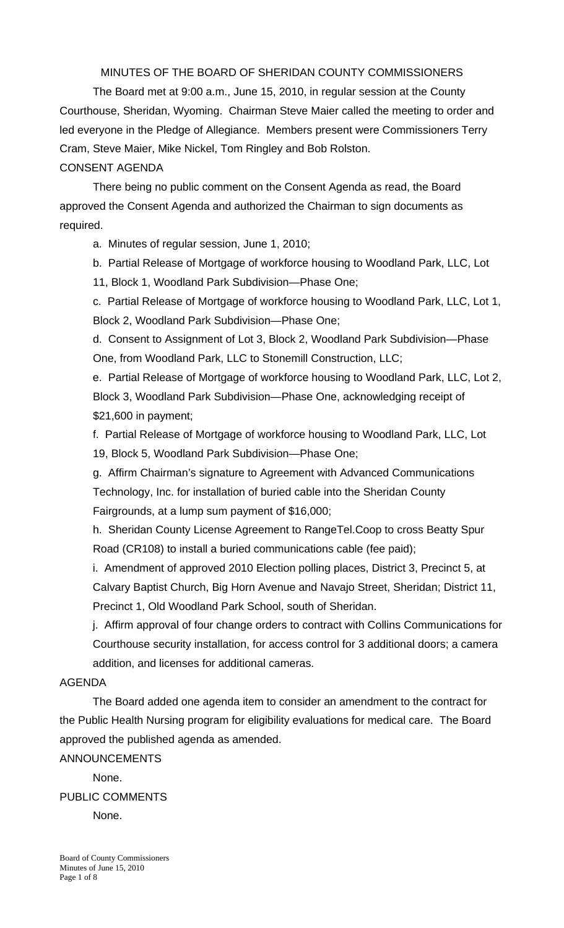MINUTES OF THE BOARD OF SHERIDAN COUNTY COMMISSIONERS

 The Board met at 9:00 a.m., June 15, 2010, in regular session at the County Courthouse, Sheridan, Wyoming. Chairman Steve Maier called the meeting to order and led everyone in the Pledge of Allegiance. Members present were Commissioners Terry Cram, Steve Maier, Mike Nickel, Tom Ringley and Bob Rolston. CONSENT AGENDA

There being no public comment on the Consent Agenda as read, the Board approved the Consent Agenda and authorized the Chairman to sign documents as required.

a. Minutes of regular session, June 1, 2010;

b. Partial Release of Mortgage of workforce housing to Woodland Park, LLC, Lot

11, Block 1, Woodland Park Subdivision—Phase One;

c. Partial Release of Mortgage of workforce housing to Woodland Park, LLC, Lot 1, Block 2, Woodland Park Subdivision—Phase One;

d. Consent to Assignment of Lot 3, Block 2, Woodland Park Subdivision—Phase One, from Woodland Park, LLC to Stonemill Construction, LLC;

e. Partial Release of Mortgage of workforce housing to Woodland Park, LLC, Lot 2, Block 3, Woodland Park Subdivision—Phase One, acknowledging receipt of \$21,600 in payment;

f. Partial Release of Mortgage of workforce housing to Woodland Park, LLC, Lot 19, Block 5, Woodland Park Subdivision—Phase One;

g. Affirm Chairman's signature to Agreement with Advanced Communications Technology, Inc. for installation of buried cable into the Sheridan County Fairgrounds, at a lump sum payment of \$16,000;

h. Sheridan County License Agreement to RangeTel.Coop to cross Beatty Spur Road (CR108) to install a buried communications cable (fee paid);

i. Amendment of approved 2010 Election polling places, District 3, Precinct 5, at Calvary Baptist Church, Big Horn Avenue and Navajo Street, Sheridan; District 11, Precinct 1, Old Woodland Park School, south of Sheridan.

j. Affirm approval of four change orders to contract with Collins Communications for Courthouse security installation, for access control for 3 additional doors; a camera addition, and licenses for additional cameras.

#### AGENDA

The Board added one agenda item to consider an amendment to the contract for the Public Health Nursing program for eligibility evaluations for medical care. The Board approved the published agenda as amended.

ANNOUNCEMENTS

None. PUBLIC COMMENTS None.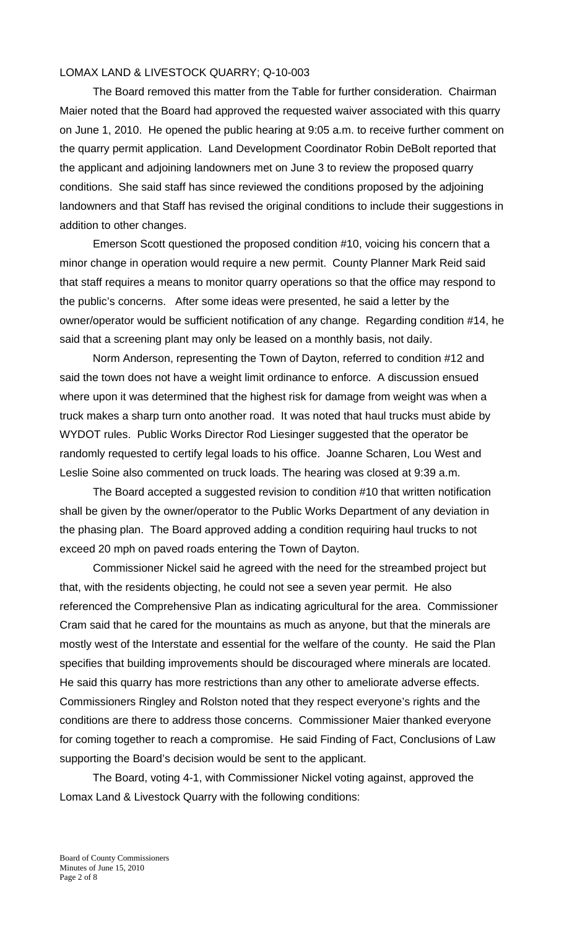### LOMAX LAND & LIVESTOCK QUARRY; Q-10-003

 The Board removed this matter from the Table for further consideration. Chairman Maier noted that the Board had approved the requested waiver associated with this quarry on June 1, 2010. He opened the public hearing at 9:05 a.m. to receive further comment on the quarry permit application. Land Development Coordinator Robin DeBolt reported that the applicant and adjoining landowners met on June 3 to review the proposed quarry conditions. She said staff has since reviewed the conditions proposed by the adjoining landowners and that Staff has revised the original conditions to include their suggestions in addition to other changes.

Emerson Scott questioned the proposed condition #10, voicing his concern that a minor change in operation would require a new permit. County Planner Mark Reid said that staff requires a means to monitor quarry operations so that the office may respond to the public's concerns. After some ideas were presented, he said a letter by the owner/operator would be sufficient notification of any change. Regarding condition #14, he said that a screening plant may only be leased on a monthly basis, not daily.

Norm Anderson, representing the Town of Dayton, referred to condition #12 and said the town does not have a weight limit ordinance to enforce. A discussion ensued where upon it was determined that the highest risk for damage from weight was when a truck makes a sharp turn onto another road. It was noted that haul trucks must abide by WYDOT rules. Public Works Director Rod Liesinger suggested that the operator be randomly requested to certify legal loads to his office. Joanne Scharen, Lou West and Leslie Soine also commented on truck loads. The hearing was closed at 9:39 a.m.

 The Board accepted a suggested revision to condition #10 that written notification shall be given by the owner/operator to the Public Works Department of any deviation in the phasing plan. The Board approved adding a condition requiring haul trucks to not exceed 20 mph on paved roads entering the Town of Dayton.

Commissioner Nickel said he agreed with the need for the streambed project but that, with the residents objecting, he could not see a seven year permit. He also referenced the Comprehensive Plan as indicating agricultural for the area. Commissioner Cram said that he cared for the mountains as much as anyone, but that the minerals are mostly west of the Interstate and essential for the welfare of the county. He said the Plan specifies that building improvements should be discouraged where minerals are located. He said this quarry has more restrictions than any other to ameliorate adverse effects. Commissioners Ringley and Rolston noted that they respect everyone's rights and the conditions are there to address those concerns. Commissioner Maier thanked everyone for coming together to reach a compromise. He said Finding of Fact, Conclusions of Law supporting the Board's decision would be sent to the applicant.

The Board, voting 4-1, with Commissioner Nickel voting against, approved the Lomax Land & Livestock Quarry with the following conditions: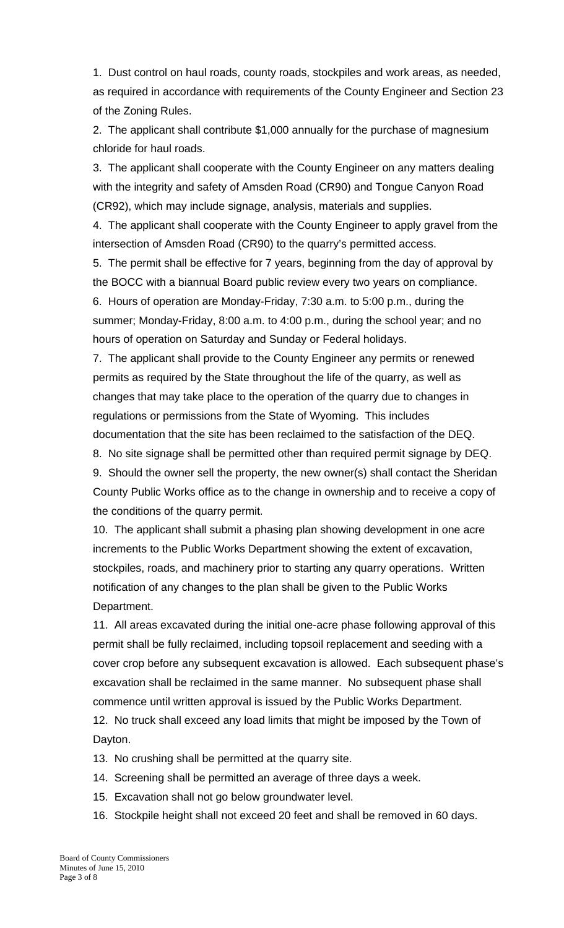1. Dust control on haul roads, county roads, stockpiles and work areas, as needed, as required in accordance with requirements of the County Engineer and Section 23 of the Zoning Rules.

 2. The applicant shall contribute \$1,000 annually for the purchase of magnesium chloride for haul roads.

 3. The applicant shall cooperate with the County Engineer on any matters dealing with the integrity and safety of Amsden Road (CR90) and Tongue Canyon Road (CR92), which may include signage, analysis, materials and supplies.

 4. The applicant shall cooperate with the County Engineer to apply gravel from the intersection of Amsden Road (CR90) to the quarry's permitted access.

 5. The permit shall be effective for 7 years, beginning from the day of approval by the BOCC with a biannual Board public review every two years on compliance. 6. Hours of operation are Monday-Friday, 7:30 a.m. to 5:00 p.m., during the summer; Monday-Friday, 8:00 a.m. to 4:00 p.m., during the school year; and no hours of operation on Saturday and Sunday or Federal holidays.

 7. The applicant shall provide to the County Engineer any permits or renewed permits as required by the State throughout the life of the quarry, as well as changes that may take place to the operation of the quarry due to changes in regulations or permissions from the State of Wyoming. This includes documentation that the site has been reclaimed to the satisfaction of the DEQ.

8. No site signage shall be permitted other than required permit signage by DEQ.

9. Should the owner sell the property, the new owner(s) shall contact the Sheridan County Public Works office as to the change in ownership and to receive a copy of the conditions of the quarry permit.

 10. The applicant shall submit a phasing plan showing development in one acre increments to the Public Works Department showing the extent of excavation, stockpiles, roads, and machinery prior to starting any quarry operations. Written notification of any changes to the plan shall be given to the Public Works Department.

 11. All areas excavated during the initial one-acre phase following approval of this permit shall be fully reclaimed, including topsoil replacement and seeding with a cover crop before any subsequent excavation is allowed. Each subsequent phase's excavation shall be reclaimed in the same manner. No subsequent phase shall commence until written approval is issued by the Public Works Department.

 12. No truck shall exceed any load limits that might be imposed by the Town of Dayton.

13. No crushing shall be permitted at the quarry site.

- 14. Screening shall be permitted an average of three days a week.
- 15. Excavation shall not go below groundwater level.
- 16. Stockpile height shall not exceed 20 feet and shall be removed in 60 days.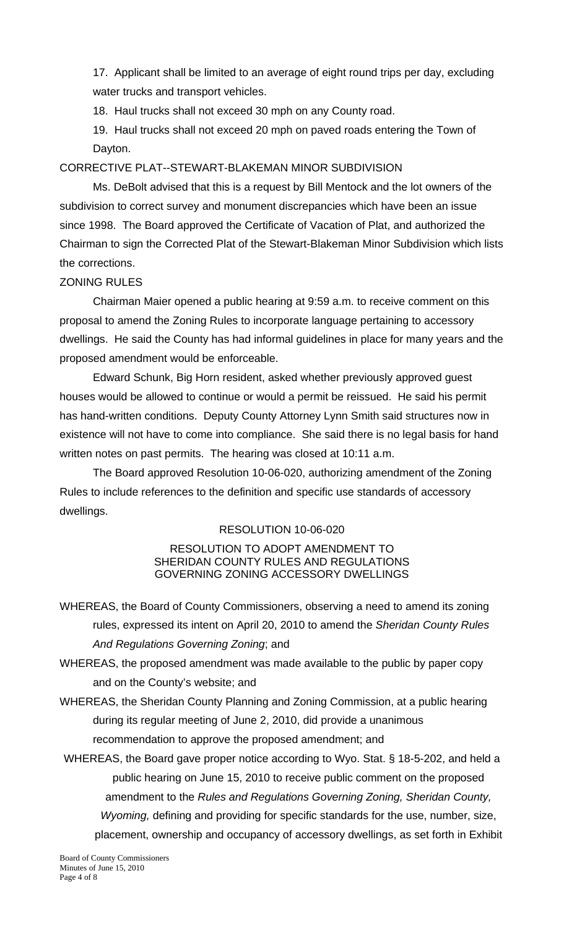17. Applicant shall be limited to an average of eight round trips per day, excluding water trucks and transport vehicles.

18. Haul trucks shall not exceed 30 mph on any County road.

 19. Haul trucks shall not exceed 20 mph on paved roads entering the Town of Dayton.

# CORRECTIVE PLAT--STEWART-BLAKEMAN MINOR SUBDIVISION

 Ms. DeBolt advised that this is a request by Bill Mentock and the lot owners of the subdivision to correct survey and monument discrepancies which have been an issue since 1998. The Board approved the Certificate of Vacation of Plat, and authorized the Chairman to sign the Corrected Plat of the Stewart-Blakeman Minor Subdivision which lists the corrections.

# ZONING RULES

 Chairman Maier opened a public hearing at 9:59 a.m. to receive comment on this proposal to amend the Zoning Rules to incorporate language pertaining to accessory dwellings. He said the County has had informal guidelines in place for many years and the proposed amendment would be enforceable.

 Edward Schunk, Big Horn resident, asked whether previously approved guest houses would be allowed to continue or would a permit be reissued. He said his permit has hand-written conditions. Deputy County Attorney Lynn Smith said structures now in existence will not have to come into compliance. She said there is no legal basis for hand written notes on past permits. The hearing was closed at 10:11 a.m.

 The Board approved Resolution 10-06-020, authorizing amendment of the Zoning Rules to include references to the definition and specific use standards of accessory dwellings.

## RESOLUTION 10-06-020

#### RESOLUTION TO ADOPT AMENDMENT TO SHERIDAN COUNTY RULES AND REGULATIONS GOVERNING ZONING ACCESSORY DWELLINGS

- WHEREAS, the Board of County Commissioners, observing a need to amend its zoning rules, expressed its intent on April 20, 2010 to amend the *Sheridan County Rules And Regulations Governing Zoning*; and
- WHEREAS, the proposed amendment was made available to the public by paper copy and on the County's website; and
- WHEREAS, the Sheridan County Planning and Zoning Commission, at a public hearing during its regular meeting of June 2, 2010, did provide a unanimous recommendation to approve the proposed amendment; and
- WHEREAS, the Board gave proper notice according to Wyo. Stat. § 18-5-202, and held a public hearing on June 15, 2010 to receive public comment on the proposed amendment to the *Rules and Regulations Governing Zoning, Sheridan County, Wyoming,* defining and providing for specific standards for the use, number, size, placement, ownership and occupancy of accessory dwellings, as set forth in Exhibit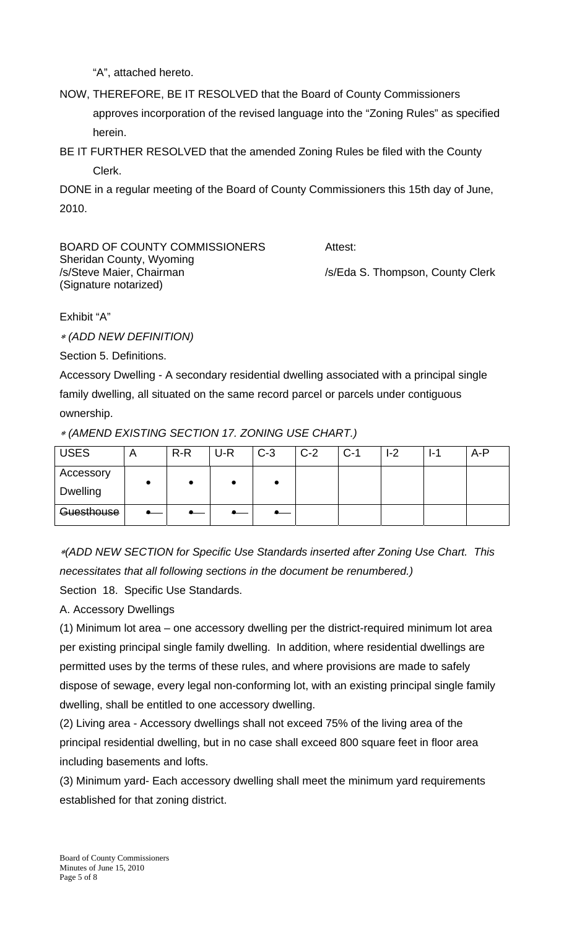"A", attached hereto.

NOW, THEREFORE, BE IT RESOLVED that the Board of County Commissioners approves incorporation of the revised language into the "Zoning Rules" as specified herein.

BE IT FURTHER RESOLVED that the amended Zoning Rules be filed with the County Clerk.

DONE in a regular meeting of the Board of County Commissioners this 15th day of June, 2010.

| BOARD OF COUNTY COMMISSIONERS                                                 | Attest:                          |  |  |  |
|-------------------------------------------------------------------------------|----------------------------------|--|--|--|
| Sheridan County, Wyoming<br>/s/Steve Maier, Chairman<br>(Signature notarized) | /s/Eda S. Thompson, County Clerk |  |  |  |
|                                                                               |                                  |  |  |  |

Exhibit "A"

 *(ADD NEW DEFINITION)* 

Section 5. Definitions.

Accessory Dwelling - A secondary residential dwelling associated with a principal single family dwelling, all situated on the same record parcel or parcels under contiguous ownership.

 *(AMEND EXISTING SECTION 17. ZONING USE CHART.)* 

| <b>USES</b>     |  | $R-R$ | U-R | $C-3$ | $C-2$ | $C-1$ | l-2 | $1 - 1$ | A-P |
|-----------------|--|-------|-----|-------|-------|-------|-----|---------|-----|
| Accessory       |  |       |     |       |       |       |     |         |     |
| <b>Dwelling</b> |  |       |     |       |       |       |     |         |     |
| Guesthouse      |  |       |     |       |       |       |     |         |     |

*(ADD NEW SECTION for Specific Use Standards inserted after Zoning Use Chart. This necessitates that all following sections in the document be renumbered.)*  Section 18. Specific Use Standards.

A. Accessory Dwellings

(1) Minimum lot area – one accessory dwelling per the district-required minimum lot area per existing principal single family dwelling. In addition, where residential dwellings are permitted uses by the terms of these rules, and where provisions are made to safely dispose of sewage, every legal non-conforming lot, with an existing principal single family dwelling, shall be entitled to one accessory dwelling.

(2) Living area - Accessory dwellings shall not exceed 75% of the living area of the principal residential dwelling, but in no case shall exceed 800 square feet in floor area including basements and lofts.

(3) Minimum yard- Each accessory dwelling shall meet the minimum yard requirements established for that zoning district.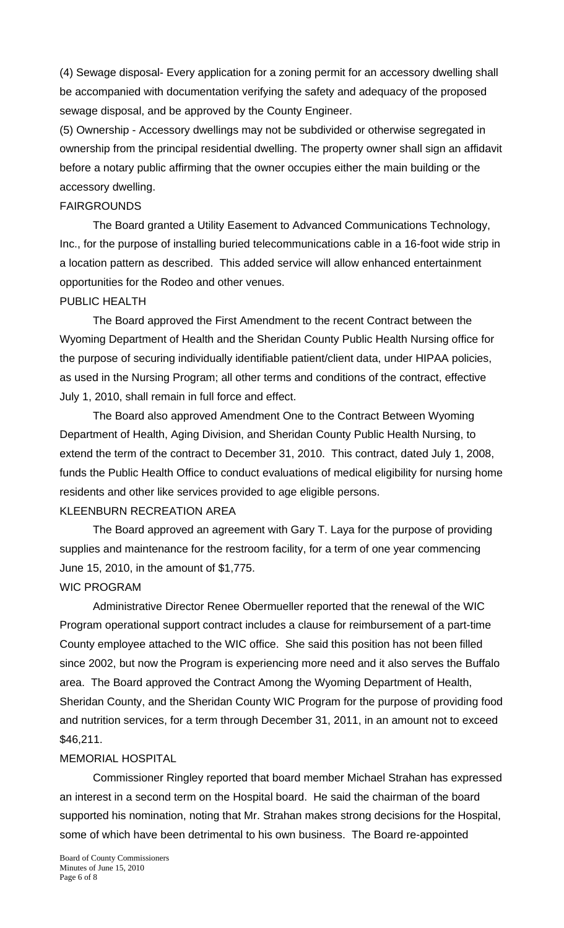(4) Sewage disposal- Every application for a zoning permit for an accessory dwelling shall be accompanied with documentation verifying the safety and adequacy of the proposed sewage disposal, and be approved by the County Engineer.

(5) Ownership - Accessory dwellings may not be subdivided or otherwise segregated in ownership from the principal residential dwelling. The property owner shall sign an affidavit before a notary public affirming that the owner occupies either the main building or the accessory dwelling.

## FAIRGROUNDS

 The Board granted a Utility Easement to Advanced Communications Technology, Inc., for the purpose of installing buried telecommunications cable in a 16-foot wide strip in a location pattern as described. This added service will allow enhanced entertainment opportunities for the Rodeo and other venues.

## PUBLIC HEALTH

The Board approved the First Amendment to the recent Contract between the Wyoming Department of Health and the Sheridan County Public Health Nursing office for the purpose of securing individually identifiable patient/client data, under HIPAA policies, as used in the Nursing Program; all other terms and conditions of the contract, effective July 1, 2010, shall remain in full force and effect.

 The Board also approved Amendment One to the Contract Between Wyoming Department of Health, Aging Division, and Sheridan County Public Health Nursing, to extend the term of the contract to December 31, 2010. This contract, dated July 1, 2008, funds the Public Health Office to conduct evaluations of medical eligibility for nursing home residents and other like services provided to age eligible persons. KLEENBURN RECREATION AREA

 The Board approved an agreement with Gary T. Laya for the purpose of providing supplies and maintenance for the restroom facility, for a term of one year commencing June 15, 2010, in the amount of \$1,775.

#### WIC PROGRAM

 Administrative Director Renee Obermueller reported that the renewal of the WIC Program operational support contract includes a clause for reimbursement of a part-time County employee attached to the WIC office. She said this position has not been filled since 2002, but now the Program is experiencing more need and it also serves the Buffalo area. The Board approved the Contract Among the Wyoming Department of Health, Sheridan County, and the Sheridan County WIC Program for the purpose of providing food and nutrition services, for a term through December 31, 2011, in an amount not to exceed \$46,211.

#### MEMORIAL HOSPITAL

 Commissioner Ringley reported that board member Michael Strahan has expressed an interest in a second term on the Hospital board. He said the chairman of the board supported his nomination, noting that Mr. Strahan makes strong decisions for the Hospital, some of which have been detrimental to his own business. The Board re-appointed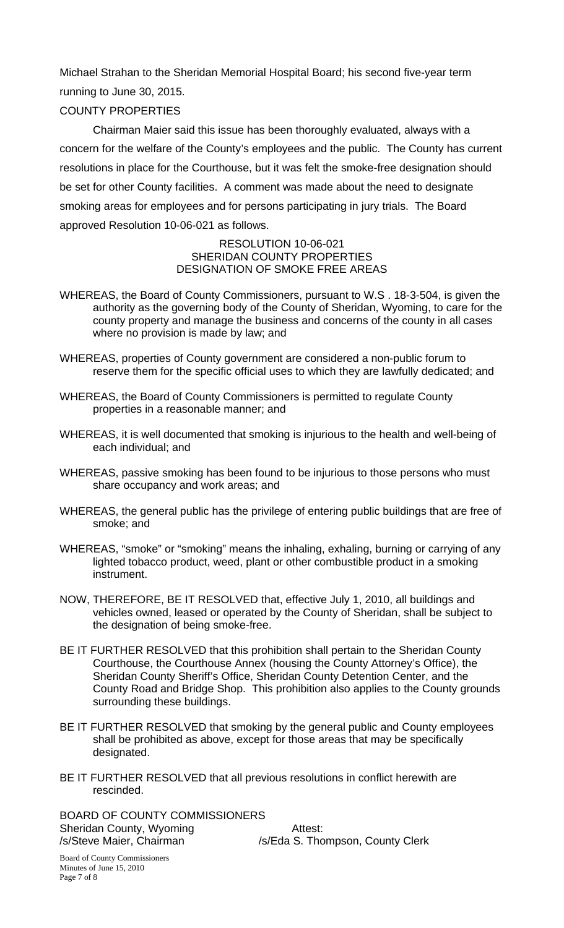Michael Strahan to the Sheridan Memorial Hospital Board; his second five-year term running to June 30, 2015.

# COUNTY PROPERTIES

 Chairman Maier said this issue has been thoroughly evaluated, always with a concern for the welfare of the County's employees and the public. The County has current resolutions in place for the Courthouse, but it was felt the smoke-free designation should be set for other County facilities. A comment was made about the need to designate smoking areas for employees and for persons participating in jury trials. The Board approved Resolution 10-06-021 as follows.

#### RESOLUTION 10-06-021 SHERIDAN COUNTY PROPERTIES DESIGNATION OF SMOKE FREE AREAS

- WHEREAS, the Board of County Commissioners, pursuant to W.S . 18-3-504, is given the authority as the governing body of the County of Sheridan, Wyoming, to care for the county property and manage the business and concerns of the county in all cases where no provision is made by law; and
- WHEREAS, properties of County government are considered a non-public forum to reserve them for the specific official uses to which they are lawfully dedicated; and
- WHEREAS, the Board of County Commissioners is permitted to regulate County properties in a reasonable manner; and
- WHEREAS, it is well documented that smoking is injurious to the health and well-being of each individual; and
- WHEREAS, passive smoking has been found to be injurious to those persons who must share occupancy and work areas; and
- WHEREAS, the general public has the privilege of entering public buildings that are free of smoke; and
- WHEREAS, "smoke" or "smoking" means the inhaling, exhaling, burning or carrying of any lighted tobacco product, weed, plant or other combustible product in a smoking instrument.
- NOW, THEREFORE, BE IT RESOLVED that, effective July 1, 2010, all buildings and vehicles owned, leased or operated by the County of Sheridan, shall be subject to the designation of being smoke-free.
- BE IT FURTHER RESOLVED that this prohibition shall pertain to the Sheridan County Courthouse, the Courthouse Annex (housing the County Attorney's Office), the Sheridan County Sheriff's Office, Sheridan County Detention Center, and the County Road and Bridge Shop. This prohibition also applies to the County grounds surrounding these buildings.
- BE IT FURTHER RESOLVED that smoking by the general public and County employees shall be prohibited as above, except for those areas that may be specifically designated.
- BE IT FURTHER RESOLVED that all previous resolutions in conflict herewith are rescinded.

BOARD OF COUNTY COMMISSIONERS Sheridan County, Wyoming **Attest:** /s/Steve Maier, Chairman /s/Eda S. Thompson, County Clerk